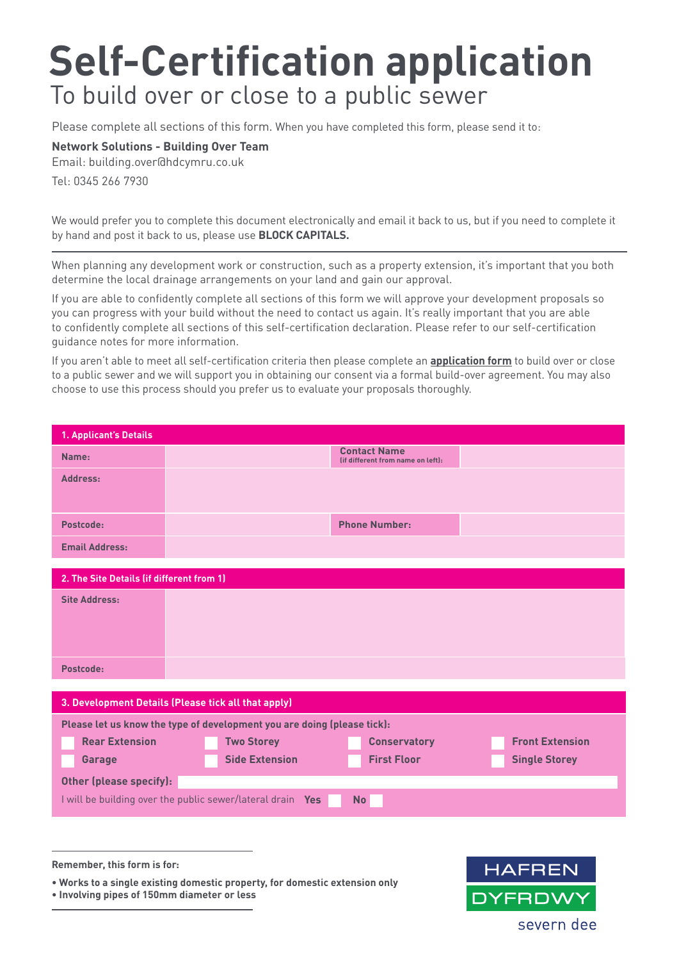# **Self-Certification application**  To build over or close to a public sewer

Please complete all sections of this form. When you have completed this form, please send it to:

## **Network Solutions - Building Over Team**

Email: building.over@hdcymru.co.uk Tel: 0345 266 7930

We would prefer you to complete this document electronically and email it back to us, but if you need to complete it by hand and post it back to us, please use **BLOCK CAPITALS.**

When planning any development work or construction, such as a property extension, it's important that you both determine the local drainage arrangements on your land and gain our approval.

If you are able to confidently complete all sections of this form we will approve your development proposals so you can progress with your build without the need to contact us again. It's really important that you are able to confidently complete all sections of this self-certification declaration. Please refer to our self-certification guidance notes for more information.

If you aren't able to meet all self-certification criteria then please complete an **application form** to build over or close to a public sewer and we will support you in obtaining our consent via a formal build-over agreement. You may also choose to use this process should you prefer us to evaluate your proposals thoroughly.

| 1. Applicant's Details                                                  |                                                            |                                                          |                        |  |  |
|-------------------------------------------------------------------------|------------------------------------------------------------|----------------------------------------------------------|------------------------|--|--|
| Name:                                                                   |                                                            | <b>Contact Name</b><br>(if different from name on left): |                        |  |  |
| Address:                                                                |                                                            |                                                          |                        |  |  |
|                                                                         |                                                            |                                                          |                        |  |  |
| Postcode:                                                               |                                                            | <b>Phone Number:</b>                                     |                        |  |  |
| <b>Email Address:</b>                                                   |                                                            |                                                          |                        |  |  |
|                                                                         |                                                            |                                                          |                        |  |  |
| 2. The Site Details (if different from 1)                               |                                                            |                                                          |                        |  |  |
| <b>Site Address:</b>                                                    |                                                            |                                                          |                        |  |  |
|                                                                         |                                                            |                                                          |                        |  |  |
|                                                                         |                                                            |                                                          |                        |  |  |
|                                                                         |                                                            |                                                          |                        |  |  |
| Postcode:                                                               |                                                            |                                                          |                        |  |  |
|                                                                         |                                                            |                                                          |                        |  |  |
| 3. Development Details (Please tick all that apply)                     |                                                            |                                                          |                        |  |  |
| Please let us know the type of development you are doing (please tick): |                                                            |                                                          |                        |  |  |
| <b>Rear Extension</b>                                                   | <b>Two Storey</b>                                          | <b>Conservatory</b>                                      | <b>Front Extension</b> |  |  |
| Garage                                                                  | <b>Side Extension</b>                                      | <b>First Floor</b>                                       | <b>Single Storey</b>   |  |  |
| Other (please specify):                                                 |                                                            |                                                          |                        |  |  |
|                                                                         | I will be building over the public sewer/lateral drain Yes | <b>No</b>                                                |                        |  |  |
|                                                                         |                                                            |                                                          |                        |  |  |
|                                                                         |                                                            |                                                          |                        |  |  |
|                                                                         |                                                            |                                                          |                        |  |  |
| Remember, this form is for:                                             |                                                            |                                                          | UACDENI                |  |  |

**• Works to a single existing domestic property, for domestic extension only**

**• Involving pipes of 150mm diameter or less**